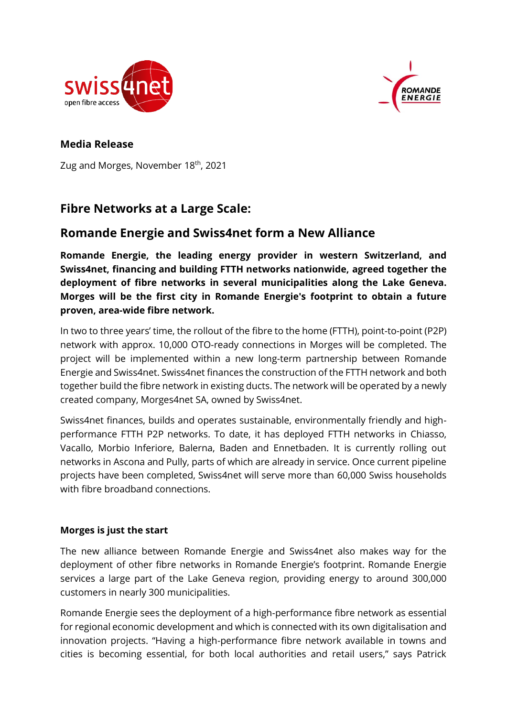



## **Media Release**

Zug and Morges, November 18<sup>th</sup>, 2021

# **Fibre Networks at a Large Scale:**

## **Romande Energie and Swiss4net form a New Alliance**

**Romande Energie, the leading energy provider in western Switzerland, and Swiss4net, financing and building FTTH networks nationwide, agreed together the deployment of fibre networks in several municipalities along the Lake Geneva. Morges will be the first city in Romande Energie's footprint to obtain a future proven, area-wide fibre network.**

In two to three years' time, the rollout of the fibre to the home (FTTH), point-to-point (P2P) network with approx. 10,000 OTO-ready connections in Morges will be completed. The project will be implemented within a new long-term partnership between Romande Energie and Swiss4net. Swiss4net finances the construction of the FTTH network and both together build the fibre network in existing ducts. The network will be operated by a newly created company, Morges4net SA, owned by Swiss4net.

Swiss4net finances, builds and operates sustainable, environmentally friendly and highperformance FTTH P2P networks. To date, it has deployed FTTH networks in Chiasso, Vacallo, Morbio Inferiore, Balerna, Baden and Ennetbaden. It is currently rolling out networks in Ascona and Pully, parts of which are already in service. Once current pipeline projects have been completed, Swiss4net will serve more than 60,000 Swiss households with fibre broadband connections.

## **Morges is just the start**

The new alliance between Romande Energie and Swiss4net also makes way for the deployment of other fibre networks in Romande Energie's footprint. Romande Energie services a large part of the Lake Geneva region, providing energy to around 300,000 customers in nearly 300 municipalities.

Romande Energie sees the deployment of a high-performance fibre network as essential for regional economic development and which is connected with its own digitalisation and innovation projects. "Having a high-performance fibre network available in towns and cities is becoming essential, for both local authorities and retail users," says Patrick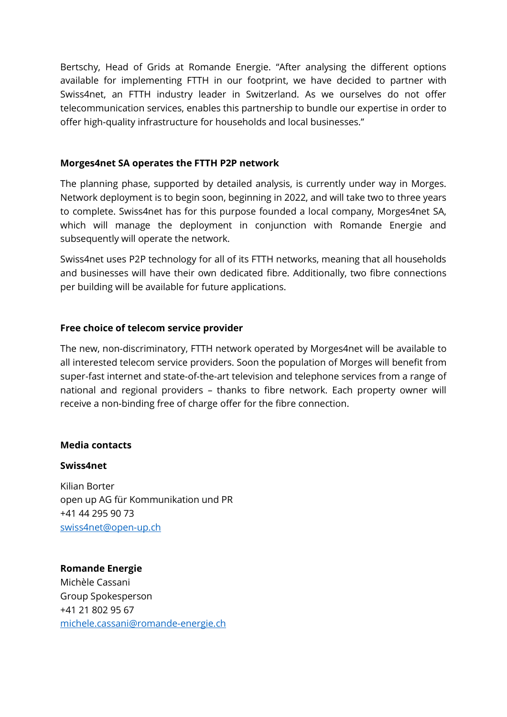Bertschy, Head of Grids at Romande Energie. "After analysing the different options available for implementing FTTH in our footprint, we have decided to partner with Swiss4net, an FTTH industry leader in Switzerland. As we ourselves do not offer telecommunication services, enables this partnership to bundle our expertise in order to offer high-quality infrastructure for households and local businesses."

#### **Morges4net SA operates the FTTH P2P network**

The planning phase, supported by detailed analysis, is currently under way in Morges. Network deployment is to begin soon, beginning in 2022, and will take two to three years to complete. Swiss4net has for this purpose founded a local company, Morges4net SA, which will manage the deployment in conjunction with Romande Energie and subsequently will operate the network.

Swiss4net uses P2P technology for all of its FTTH networks, meaning that all households and businesses will have their own dedicated fibre. Additionally, two fibre connections per building will be available for future applications.

## **Free choice of telecom service provider**

The new, non-discriminatory, FTTH network operated by Morges4net will be available to all interested telecom service providers. Soon the population of Morges will benefit from super-fast internet and state-of-the-art television and telephone services from a range of national and regional providers – thanks to fibre network. Each property owner will receive a non-binding free of charge offer for the fibre connection.

#### **Media contacts**

#### **Swiss4net**

Kilian Borter open up AG für Kommunikation und PR +41 44 295 90 73 [swiss4net@open-up.ch](mailto:swiss4net@open-up.ch)

**Romande Energie** Michèle Cassani Group Spokesperson +41 21 802 95 67 [michele.cassani@romande-energie.ch](mailto:michele.cassani@romande-energie.ch)